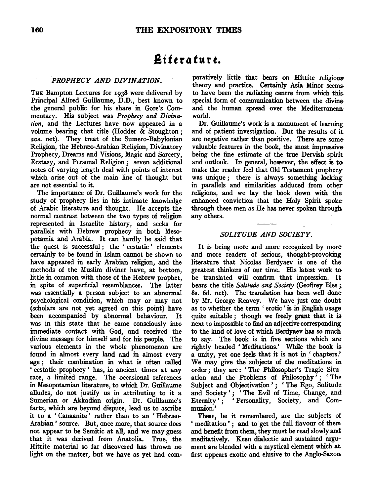# $P$ iferature.

#### *PROPHECY AND DIVINATION.*

THE Bampton Lectures for 1938 were delivered by Principal Alfred Guillaume, D.D., best known to the general public for his share in Gore's Commentary. His subject was *Prophecy and Divination,* and the Lectures have now appeared in a volume bearing that title (Hodder & Stoughton ; 20s. net). They treat of the Sumero-Babylonian Religion, the Hebneo-Arabian Religion, Divinatory Prophecy, Dreams and Visions, Magic and Sorcery, Ecstasy, and Personal Religion ; seven additional notes of varying length deal with points of interest which arise out of the main line of thought but are not essential to it.

The importance of Dr. Guillaume's work for the study of prophecy lies in his intimate knowledge of Arabic literature and thought. He accepts the normal contrast between the two types of religion represented in Israelite history, and seeks for parallels with Hebrew prophecy in both Mesopotamia and Arabia. It can hardly be said that the quest is successful; the 'ecstatic' elements certainly to be found in Islam cannot be shown to have appeared in early Arabian religion, and the methods of the Muslim diviner have, at bottom, little in common with those of the Hebrew prophet, in spite of superficial resemblances. The latter was essentially a person subject to an abnormal psychological condition, which may or may not (scholars are not yet agreed on this point) have been accompanied by abnormal behaviour. It was in this state that he came consciously into immediate contact with God, and received the divine message for himself and for his people. The various elements in the whole phenomenon are found in almost every land and in almost every age ; their combination in what is often called ' ecstatic prophecy ' has, in ancient times at any rate, a limited range. The occasional references in Mesopotamian literature, to which Dr. Guillaume alludes, do not justify us in attributing to it a Sumerian or Akkadian origin. Dr. Guillaume's facts, which are beyond dispute, lead us to ascribe it to a 'Canaanite' rather than to an 'Hebræo-Arabian ' source. But, once more, that source does not appear to be Semitic at all, and we may guess that it was derived from Anatolia. True, the Hittite material so far discovered has thrown no light on the matter, but we have as yet had comparatively little that bears on Hittite religious: theory and practice. Certainly Asia Minor seems. to have been the radiating centre from which this special form of communication between the divine and the human spread over the Mediterranean world.

Dr. Guillaume's work is a monument of learning· and of patient investigation. But the results of it are negative rather than positive. There are some· valuable features in the book, the most impressive being the fine estimate of the true Dervish spirit and outlook. In general, however, the effect is to make the reader feel that Old Testament prophecy was unique; there is always something lacking. in parallels and similarities adduced from other religions, and we lay the book down with the enhanced conviction that the Holy Spirit spoke· through these men as He has never spoken through any others.

#### *SOLITUDE AND SOCIETY.*

It is being more and more recognized by more and more readers of serious, thought-provoking literature that Nicolas Berdyaev is one of the greatest thinkers of our time. His latest work *to*  be translated will confirm that impression. It bears the title *Solitude and Society* (Geoffrey Bies ; 8s. 6d. net). The translation has been well done by Mr. George Reavey. We have just one doubt as to whether the term 'erotic' is in English usage quite suitable ; though we freely grant that it is next to impossible to find an adjective corresponding to the kind of love of which Berdyaev has so much to say. The book is in five sections which are rightly headed ' Meditations.' While the book is a unity, yet one feels that it is not in 'chapters.' We may give the subjects of the meditations in order; they are: 'The. Philosopher's Tragic Situation and the Problems of Philosophy'; 'The Subject and Objectivation'; 'The Ego, Solitude and Society'; 'The Evil of Time, Change, and Eternity'; 'Personality, Society, and Communion.'

These, be it remembered, are the subjects of 'meditation'; and to'get the full flavour of them and benefit from them, they must be read slowly and meditatively. Keen dialectic and sustained argument are blended with a mystical element which at first appears exotic and elusive to the Anglo-Saxon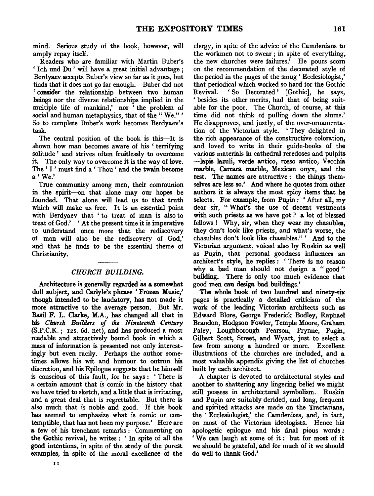mind. Serious study of the book, however, will amply repay itself.

Readers who are familiar with Martin Buber's 'Ich und Du' will have a great initial advantage; Berdyaev accepts Buber's view so far as it goes, but finds that it does not go far enough. Buber did not ' consider the relationship between two human beings nor the diverse relationships implied in the multiple life of mankind,' nor 'the problem of social and human metaphysics, that of the "We."' So to complete Buber's work becomes Berdyaev's task.

The central position of the book is this-It is shown how man becomes aware of his 'terrifying solitude ' and strives often fruitlessly to overcome it. The only way to overcome it is the way of love. The 'I' must find a 'Thou' and the twain become a'We.'

True community among men, their communion in the spirit-on that alone may our hopes be founded. That alone will lead us to that truth which will make us free. It is an essential point with Berdyaev that ' to treat of man is also to treat of God.' ' At the present time it is imperative to understand once more that the rediscovery of man will also be the rediscovery of God,' and that he finds to be the essential theme of Christianity.

## *CHURCH BUILDING.*

Architecture is generally regarded as a somewhat dull subject, and Carlyle's phrase 'Frozen Music,' though intended to be laudatory, has not made it more attractive to the average person. But Mr. Basil F. L. Clarke, M.A., has changed all that in his *Church Builders of the Nineteenth Century*  (S.P.C.K.; 12s. 6d. net), and has produced a most readable and attractively bound book in which a mass of information is presented not only interestingly but even racily. Perhaps the author sometimes allows his wit and humour to outrun his discretion, and his Epilogue suggests that he himself is conscious of this fault, for he says : ' There is a certain amount that is comic in the history that we have tried to sketch, and a little that is irritating, and a great deal that is regrettable. But there is also much that is noble and good. If this book has seemed to emphasize what is comic or contemptible, that has not been my purpose.' Here are a few of his trenchant remarks : Commenting on the Gothic revival, he writes : ' In spite of all the good intentions, in spite of the study of the purest examples, in spite of the moral excellence of the clergy, in spite of the advice of the Camdenians to the workmen not to swear ; in spite of everything, the new· churches were failures.' He pours scorn on the recommendation of the decorated style of the period in the pages of the smug' Ecclesiologist,' that periodical which worked so hard for the Gothic Revival. ' So Decorated' [Gothic], he says, ' besides its other merits, had that of being suitable for the poor. The Church, of course, at this time did not think of pulling down the slums.' He disapproves, and justly, of the over-ornamentation of the Victorian style. ' They delighted in the rich appearance of the constructive coloration, and loved to write in their guide-books of the various materials in cathedral reredoses and pulpits -lapis lazuli, verde antico, rosso antico, Vecchia marble, Carrara marble, Mexican onyx, and the rest. The names are attractive: the things themselves are less so.' And where he quotes from other authors it is always the most spicy items that he selects. For example, from Pugin : 'After all, my dear sir, "What's the use of decent vestments with such priests as we have got ? a lot of blessed fellows! Why, sir, when they wear my chasubles, they don't look like priests, and what's worse, the chasubles don't look like chasubles." ' And to the Victorian argument, voiced also by Ruskin as well as Pugin, that personal goodness influences an architect's style, he replies : ' There is no reason why a bad man should not design a "good" building. There is only too much evidence that good men can design bad buildings.'

The whole book of two hundred and ninety-six pages is practically a detailed criticism of the work of the leading Victorian architects such as Edward Blore, George Frederick Bodley, Raphael Brandon, Hodgson Fowler, Temple Moore, Graham Paley, Loughborough Pearson, Prynne, Pugin, Gilbert Scott, Street, and Wyatt, just to select a few from among a hundred or more. Excellent illustrations of the churches are included, and a most valuable appendix giving the list of churches built by each architect.

A chapter is devoted to architectural styles and another to shattering any lingering belief we might still possess in architectural symbolism. Ruskin and Pugin are suitably derided, and long, frequent and spirited attacks are made on the Tractarians, the ' Ecclesiologist,' the Camdenites, and, in fact, on most of the Victorian ideologists. Hence his apologetic epilogue and his final pious words : ' We can laugh at some of it : but for most of it we should be grateful, and for much of it we should do well to thank God.'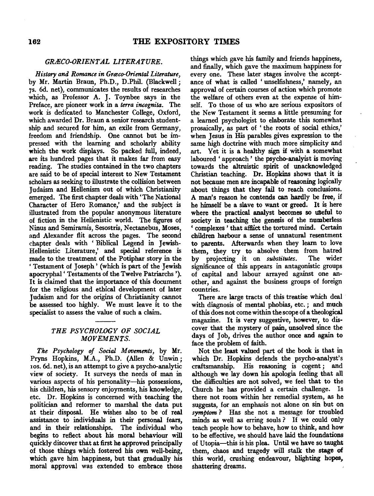## *GRJECO-ORIENTAL LITERATURE.*

*History and Romance in Græco-Oriental Literature.* by Mr. Martin Braun, Ph.D., D.Phil. (Blackwell; 7s. 6d. net), communicates the results of researches which, as Professor A. J. Toynbee says in the Preface, are pioneer work in a *terra incognita.* The work is dedicated to Manchester College, Oxford, which awarded Dr. Braun a senior research studentship and secured for him, an exile from Germany, freedom and friendship. One cannot but be impressed with the learning and scholarly ability which the work displays. So packed full, indeed, are its hundred pages that it makes far from easy reading. The studies contained in the two chapters are said to be of special interest to New Testament scholars as seeking to illustrate the collision between Judaism and Hellenism out of which Christianity emerged. The first chapter deals with 'The National Character of Hero Romance,' and the subject is illustrated from the popular anonymous literature of fiction in the Hellenistic world. The figures of Ninus and Semiramis, Sesostris, Nectanebus, Moses, and Alexander flit across the pages. The second chapter deals with ' Biblical Legend in Jewish-Hellenistic Literature,' and special reference is made to the treatment of the Potiphar story in the 'Testament of Joseph' (which is part of the Jewish apocryphal ' Testaments of the Twelve Patriarchs '). It is claimed that the importance of this document for the religious and ethical development of later Judaism and for the origins of Christianity cannot be assessed too highly. We must leave it to the specialist to assess the value of such a claim.

## *THE PSYCHOLOGY OF SOCIAL MOVEMENTS.*

The Psychology of Social Movements, by Mr. Pryns Hopkins, M.A., Ph.D. (Allen & Unwin; 10s. 6d. net), is an attempt to give a psycho-analytic view of society. It surveys the needs of man in various aspects of his personality-his possessions, his children, his sensory enjoyments, his knowledge, etc. Dr. Hopkins is concerned with teaching the politician and reformer to marshal the data put at their disposal. He wishes also to be of real assistance to individuals in their personal fears, and in their relationships. The individual who begins to reflect about his moral behaviour will quickly discover that at first he approved principally of those things which fostered his own well-being, which gave him happiness, but that gradually his moral approval was extended to embrace those

things which gave his family and friends happiness, and finally, which gave the maximum happiness for every one. These later stages involve the acceptance of what is called 'unselfishness,' namely, an approval of certain courses of action which promote the welfare of others even at the expense of himself. To those of us who are serious expositors of the New Testament it seems a little presuming for a learned psychologist to elaborate this somewhat prosaically, as part of 'the roots of social ethics,' when Jesus in His parables gives expression to the same high doctrine with much more simplicity and art. Yet it is a healthy sign if with a somewhat laboured ' approach ' the psycho-analyist is moving towards the altruistic spirit of unacknowledged Christian teaching. Dr. Hopkins shows that it is not because men are incapable of reasoning logically about things that they fail to reach conclusions. A man's reason he contends can hardly be free, if he himself be a slave to want or greed. It is here where the practical analyst becomes so useful to society in teaching the genesis of the numberless ' complexes ' that afflict the tortured mind. Certain children harbour a sense of unnatural resentment to parents. Afterwards when they learn to love them, they try to absolve them from hatred by projecting it on *substitutes.* The wider significance of this appears in antagonistic groups of capital and labour arrayed against one another, and against the business groups of foreign countries.

There are large tracts of this treatise which deal with diagnosis of mental phobias, etc. ; and much of this does not come within the scope of a theological magazine. It is very suggestive, however, to discover that the mystery of pain, unsolved since the days of Job, drives the author once and again to face the problem of faith.

Not the least valued part of the book is that in which Dr. Hopkins defends the psycho-analyst's craftsmanship. His reasoning is cogent ; and although we lay down his apologia feeling that all the difficulties are not solved, we feel that to the Church he has provided a certain challenge. Is there not room within her remedial system, as he suggests, for an emphasis not alone on sin but on *symptom* ? Has she not a message for troubled minds as well as erring souls ? If we could only teach people how to behave, how to think, and how to be effective, we should have laid the foundations of Utopia-this is his plea. Until we have so taught them, chaos and tragedy will stalk the stage of this world, crushing endeavour, blighting hopes, shattering dreams.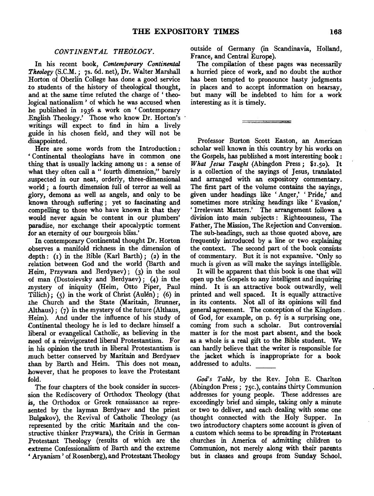## *CONTINENTAL THEOLOGY.*

In his recent book, *Contemporary Continental Theology* (S.C.M.; 7s. 6d. net), Dr. Walter Marshall Horton of Oberlin College has done a good service .to students of the history of theological thought, and at the same time refuted the charge of ' theological nationalism ' of which he was accused when he published in 1936 a work on ' Contemporary English Theology.' Those who know Dr. Horton's writings will expect to find in him a lively guide in his chosen field, and they will not be disappointed.

Here are some words from the Introduction: ' Continental theologians have in common one thing that is usually lacking among us : a sense of what they often call a " fourth dimension," barely suspected in our neat, orderly, three-dimensional world ; a fourth dimension full of terror as well as glory, demons as well as angels, and only to be known through suffering ; yet so fascinating and .compelling to those who have known it that they would never again be content in our plumbers' paradise, nor exchange their apocalyptic torment for an eternity of our bourgeois bliss.'

In contemporary Continental thought Dr. Horton observes a manifold richness in the dimension of depth:  $(I)$  in the Bible (Karl Barth);  $(2)$  in the ~elation between God and the world (Barth and Heim, Przywara and Berdyaev); (3) in the soul of man (Dostoievsky and Berdyaev); (4) in the mystery of iniquity (Heim, Otto Piper, Paul Tillich);  $(5)$  in the work of Christ (Aulén);  $(6)$  in .the Church and the State (Maritain, Brunner, Althaus); (7) in the mystery of the future (Althaus, Heim). And under the influence of his study of Continental theology he is led to declare himself a liberal or evangelical Catholic, as believing in the need of a reinvigorated liberal Protestantism. For in his opinion the truth in liberal Protestantism is much better conserved by Maritain and Berdyaev than by Barth and Heim. This does not mean, however, that he proposes to leave the Protestant fold.

The four chapters of the book consider in succession the Rediscovery of Orthodox Theology (that is, the Orthodox or Greek renaissance as represented by the layman Berdyaev and the priest Bulgakov), the Revival of Catholic Theology (as represented by the critic Maritain and the constructive thinker Przywara), the Crisis in German Protestant Theology (results of which are the extreme Confessionalism of Barth and the extreme • Aryanism ' of Rosenberg), and Protestant Theology

outside of Germany (in Scandinavia, Holland, France, and Central Europe).

The compilation of these pages was necessarily a hurried piece of work, and no doubt the author has been tempted to pronounce hasty judgments in places and to accept information on hearsay, but many will be indebted to him for a work interesting as it is timely.

Professor Burton Scott Easton, an American scholar well known in this country by his works on the Gospels, has published a most interesting book : *What Jesus Taught* (Abingdon Press; \$1.50). It is a collection of the sayings of Jesus, translated and arranged with an expository commentary. The first part of the volume contains the sayings, given under headings like 'Anger,' 'Pride,' and sometimes more striking headings like ' Evasion,' ' Irrelevant Matters.' The arrangement follows a division into main subjects : Righteousness, The Father, The Mission, The Rejection and Conversion. The sub-headings, such as those quoted above, are frequently introduced by a line or two explaining the context. The second part of the book consists of commentary. But it is not expansive. 'Only so much is given as will make the sayings intelligible.

It will be apparent that this book is one that will open up the Gospels to any intelligent and inquiring mind. It is an attractive book outwardly, well printed and well spaced. It is equally attractive in its contents. Not all of its opinions will find general agreement. The conception of the Kingdom . of God, for example, on p. 67 is a surprising one, coming from such a scholar. But controversial matter is for the most part absent, and the book as a whole is a real gift to the Bible student. We can hardly believe that the writer is responsible for the jacket which is inappropriate for a book addressed to adults.

*God's Table,* by the Rev. John E. Charlton (Abingdon Press; 75c.), contains thirty Communion addresses for young people. These addresses are exceedingly brief and simple, taking only a minute or two to deliver, and each dealing with some one thought connected with the Holy Supper. In two introductory chapters some account is given of a custom which seems to be spreading in Protestant churches in America of admitting children to Communion, not merely along with their parents but in classes and groups from Sunday School.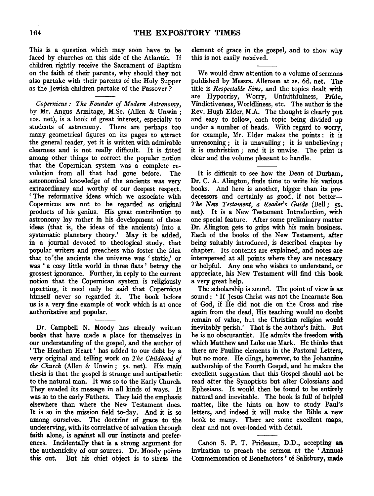This is a question which may soon have to be faced by churches on this side of the Atlantic. If children rightly receive the Sacrament of Baptism on the faith of their parents, why should they not also partake with their parents of the Holy Supper as the Jewish children partake of the Passover ?

*Copernicus: The Founder of Modern Astronomy,*  by Mr. Angus Armitage, M.Sc. {Allen & Unwin ; 10s. net), is a book of great interest, especially to students of astronomy. There are perhaps too many geometrical figures on its pages to attract the general reader, yet it is written with admirable clearness and is not really difficult. It is fitted among other things to correct the popular notion that the Copernican system was a complete revolution from all that had gone before. The astronomical knowledge of the ancients was very extraordinary and worthy of our deepest respect. ' The reformative ideas which we associate with Copernicus are not to be regarded as original products of his genius. His great contribution to astronomy lay rather in his development of those ideas (that is, the ideas of the ancients) into a systematic planetary theory.' May it be added, in a journal devoted to theological study, that popular writers and preachers who foster the idea that to' the ancients the universe was ' static,' or was ' a cosy little world in three flats ' betray the grossest ignorance. Further, in reply to the current notion that the Copernican system is religiously upsetting, it need only be said that Copernicus himself never so regarded it. The book before us is a very fine example of work which is at once authoritative and popular.

Dr. Campbell N. Moody has already written books that have made a place for themselves in our understanding of the gospel, and the author of ' The Heathen Heart ' has added to our debt by a very original and telling work on *The Childhood of the Church* (Allen & Unwin ; 5s. net). His main thesis is that the gospel is strange and antipathetic to the natural man. It was so to the Early Church. They evaded its message in all kinds of ways. It was so to the early Fathers. They laid the emphasis elsewhere than where the New Testament does. It is so in the mission field to-day. And it is so among ourselves. The doctrine of grace to the undeserving, with its correlative of salvation through faith alone, is against all our instincts and preferences. Incidentally that is a strong argument for the authenticity of our sources. Dr. Moody points this out. But his chief object is to stress the

element of grace in the gospel, and to show why this is not easily received.

We would draw attention to a volume of sermons. published by Messrs. Allenson at 2s. 6d. net. The title is *Respectable Sins,* and the topics dealt with are Hypocrisy, Worry, Unfaithfulness, Pride, Vindictiveness, Worldliness, etc. The author is the Rev. Hugh Elder, M.A. The thought is clearly put and easy to follow, each topic being divided up under a number of heads. With regard to worry, for example, Mr. Elder makes the points : it is unreasoning; it is unavailing; it is unbelieving it is unchristian ; and it is unwise. The print is clear and the volume pleasant to handle.

It is difficult to see how the Dean of Durham, Dr. C. A. Alington, finds time to write his various books. And here is another, bigger than its predecessors and certainly as good, if not better-*The New Testament, a Reader's Guide* (Bell; *5s.*  net). It is a New Testament Introduction, with one special feature. After some preliminary matter-Dr. Alington gets to grips with his main business. Each of the books of the New Testament, afterbeing suitably introduced, is described chapter by chapter. Its contents are explained, and notes are interspersed at all points where they are necessary or helpful. Any one who wishes to understand, orappreciate, his New Testament will find this book a very great help.

The scholarship is sound. The point of view is as sound : ' If Jesus Christ was not the Incarnate Son of God, if He did not die on the Cross and rise again from the dead, His teaching would no doubt remain of value, but the Christian religion would inevitably perish.' That is the author's faith. But he is no obscurantist. He admits the freedom with which Matthew and Luke use Mark. He thinks that there are Pauline elements in the Pastoral Letters, but no more. He clings, however, to the Johannineauthorship of the Fourth Gospel, and he makes the excellent suggestion that this Gospel should not be read after the Synoptists but after Colossians and Ephesians. It would then be found to be entirely natural and inevitable. The book is full of helpful matter, like the hints on how to study Paul's letters, and indeed it will make the Bible a new book to many. There are some excellent maps, clear and not over-loaded with detail.

Canon S. P. T. Prideaux, D.D., accepting an invitation to preach the sermon at the ' Annual Commemoration of Benefactors' of Salisbury, made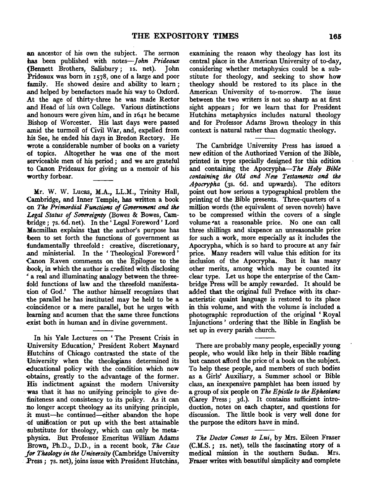an ancestor of his own the subject. The sermon has been published with notes-*John Prideaux* (Bennett Brothers, Salisbury; Is. net). John Prideaux was born in 1578, one of a large and poor family. He showed desire and ability to learn; .and helped by benefactors made his way to Oxford. At the age of thirty-three he was made Rector and Head of his own College. Various distinctions .and honours were given him, and in I641 he became Bishop of Worcester. His last days were passed amid the turmoil of Civil War, and, expelled from his See, he ended his days in Bredon Rectory. He wrote a considerable number of books on a variety -of topics. Altogether he was one of the most serviceable men of his period ; and we are grateful to Canon Prideaux for giving us a memoir of his worthy forbear.

Mr. W. W. Lucas, M.A., LL.M., Trinity Hall, Cambridge, and Inner Temple, has written a book -0n *The P1imo1dial Functions of Government and the Legal Status of Sovereignty* (Bowes & Bowes, Cambridge; 7s. 6d. net). In the' Legal Foreword' Lord Macmillan explains that the author's purpose has been to set forth the functions of government as fundamentally threefold : creative, discretionary, and ministerial. In the 'Theological Foreword' -Canon Raven comments on the Epilogue to the hook, in which the author is credited with disclosing -' a real and illuminating analogy between the threefold functions of law and the threefold manifestation of God.' The author himself recognizes that the parallel he has instituted may be held to be a -coincidence or a mere parallel, but he urges with learning and acumen that the same three functions -exist both in human and in divine government.

In his Yale Lectures on ' The Present Crisis in University Education,' President Robert Maynard Hutchins of Chicago contrasted the state of the University when the theologians determined its .educational policy with the condition which now -obtains, greatly to the advantage of the former. His indictment against the modem University was that it has no unifying principle to give definiteness and consistency to its policy. As it can :no longer accept theology as its unifying principle, *it* must-he continued-either abandon the hope ·of unification or put up with the best attainable ·substitute for theology, which can only be metaphysics. But Professor Emeritus William Adams Brown, Ph.D., D.D., in a recent book, *The Case J01 Theology in the Uni'versity* (Cambridge University *Press;* 7s. net), joins issue with President Hutchins, examining the reason why theology has lost its central place in the American University of to-day, considering whether metaphysics could be a substitute for theology, and seeking to show how theology should be restored to its place in the American University of to-morrow. The issue between the two writers is not so sharp as at first sight appears ; for we learn that for President Hutchins metaphysics includes natural theology and for Professor Adams Brown theology in this context is natural rather than dogmatic theology.

The Cambridge University Press has issued a new edition of the Authorized Version of the Bible, printed in type specially designed for this edition and containing the Apocrypha-The Holy Bible *containing the Old and New Testaments and the Apocrypha* (Js. 6d. and upwards). The editors point out how serious a typographical problem the printing of the Bible presents. Three-quarters of a million words (the equivalent of seven novels) have to be compressed within the covers of a single volume ~at a reasonable price. No one can call three shillings and sixpence an unreasonable price for such a work, more especially as it includes the Apocrypha, which is so hard to procure at any fair price. Many readers will value this edition for its inclusion of the Apocrypha. But it has many other merits, among which may be counted its clear type. Let us hope the enterprise of the Cambridge Press will be amply rewarded. It should be added that the original full Preface with its characteristic quaint language is restored to its place in this volume, and with the volume is included a photographic reproduction of the original ' Royal Injunctions' ordering that the Bible in English be set up in every parish church.

There are probably many people, especially young people, who would like help in their Bible reading but cannot afford the price of a book on the subject. To help these people, and members of such bodies as a Girls' Auxiliary, a Summer school or Bible class, an inexpensive pamphlet has been issued by a group of six people on *The Epistle to the Ephesians* (Carey Press; 3d.). It contains sufficient introduction, notes on each chapter, and questions for discussion. The little book is very well done for the purpose the editors have in mind.

*The Doctor Comes to Lui,* by Mrs. Eileen Fraser (C.M.S. ; IS. net), tells the fascinating story of a medical mission in the southern Sudan. Mrs. Fraser writes with beautiful simplicity and complete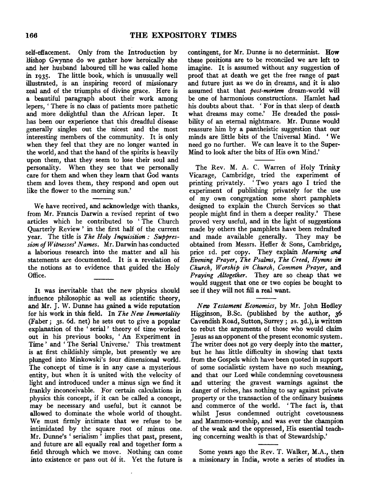self-effacement. Only from the Introduction by Bishop Gwynne do we gather how heroically she and her husband laboured till he was called home in 1935. The little book, which is unusually well illustrated, is an inspiring record of missionary zeal and of the triumphs of divine grace. Here is a beautiful paragraph about their work among lepers, ' There is no class of patients more pathetic and more delightful than the African leper. It has been our experience that this dreadful disease generally singles out the nicest and the most interesting members of the community. It is only when they feel that they are no longer wanted in the world, and that the hand of the spirits is heavily upon them, that they seem to lose their soul and personality. When they see that we personally care for them and when they learn that God wants them and loves them, they respond and open out like the flower to the morning sun.'

We have received, and acknowledge with thanks, from Mr. Francis Darwin a revised reprint of two articles which he contributed to ' The Church Quarterly Review ' in the first half of the current year. The title is *The Holy Inquisition: Suppression of Witnesses' Names.* Mr. Darwin has conducted a laborious research into the matter and all his statements are documented. It is a revelation of the notions as to evidence that guided the Holy Office.

It was inevitable that the new physics should influence philosophic as well as scientific theory, and Mr. J. W. Dunne has gained a wide reputation for his work in this field. In *The New Immortality*  (Faber ; 3s. 6d. net) he sets out to give a popular explanation of the ' serial ' theory of time worked out in his previous books, ' An Experiment in Time' and 'The Serial Universe.' This treatment is at first childishly simple, but presently we are plunged into Minkowski's four dimensional world. The concept of time is in any case a mysterious entity, but when it is united with the velocity of light and introduced under a minus sign we find it frankly inconceivable. For certain calculations in physics this concept, if it can be called a concept, may be necessary and useful, but it cannot be allowed to dominate the whole world of thought. We must firmly intimate that we refuse to be intimidated by the square root of minus one. Mr. Dunne's ' serialism ' implies that past, present, and future are all equally real and together form a field through which we move. Nothing can come into existence or pass out *bf* it. Yet the future is

contingent, for Mr. Dunne is no determinist. How these positions are to be reconciled we are left to imagine. It is assumed without any suggestion of proof that at death we get the free range of past and future just as we do in dreams, and it is also assumed that that *post-m0rtem* dream-world will be one of harmonious constructions. Hamlet had his doubts about that. ' For in that sleep of death what dreams may come.' He dreaded the possibility of an eternal nightmare. Mr. Dunne would reassure him by a pantheistic suggestion that our minds are little bits of the Universal Mind. 'We need go no further. We can leave it to the Super-Mind to look after the bits of His own Mind.'

The Rev. M. A. C. Warren of Holy Trinity Vicarage, Cambridge, tried the experiment of printing privately. 'Two years ago I tried the experiment of publishing privately for the use of my own congregation some short pamphlets designed to explain the Church Services so that people might find in them a deeper reality.' These proved very useful, and in the light of suggestions made by others the pamphlets have been redrafted and made available generally. They may be obtained from Messrs. Hefler & Sons, Cambridge, price 1d. per copy. They explain *Morning and Evening Prayer, The Psalms, The Creed, Hymns in Church, Worship in Church, Common Prayer,* and *Praying Altogether.* They are so cheap that we would suggest that one or two copies be bought to see if they will not fill a real want.

*New Testament Economics,* by Mr. John Hedley Higginson, B.Sc. (published by the author, 36 Cavendish Road, Sutton, Surrey; 2s. 3d.), is written to rebut the arguments of those who would claim Jesus as an opponent of the present economic system. The writer does not go very deeply into the matter, but he has little difficulty in showing that texts from the Gospels which have been quoted in support of some socialistic system have no such meaning, and that our Lord while condemning covetousness and uttering the gravest warnings against the danger of riches, has nothing to say against private property or the transaction of the ordinary business and commerce of the world. ' The fact is, that whilst Jesus condemned outright covetousness and Mammon-worship, and was ever the champion of the weak and the oppressed, His essential teaching concerning wealth is that of Stewardship.'

Some years ago the Rev. T. Walker, M.A., then· a missionary in India, wrote a series of studies in.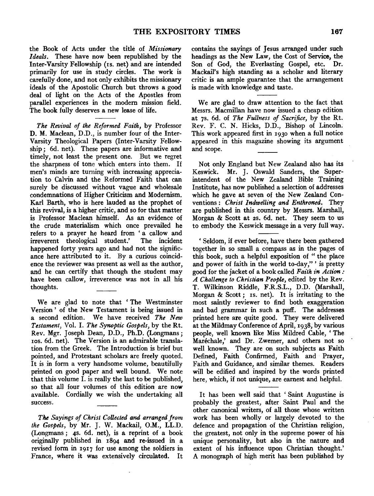the Book of Acts under the title of *Missionary Ideals.* These have now been republished by the Inter-Varsity Fellowship (1s. net) and are intended primarily for use in study circles. The work is carefully done, and not only exhibits the missionary ideals of the Apostolic Church but throws a good deal of light on the Acts of the Apostles from parallel experiences in the modem mission field. The book fully deserves a new lease of life.

*The Revival of the Reformed Faith,* by Professor D. M. Maclean, D.D., is number four of the Inter-Varsity Theological Papers (Inter-Varsity Fellowship; 6d. net). These papers are informative and timely, not least the present one. But we regret the sharpness of tone which enters into them. If men's minds are turning with increasing appreciation to Calvin and the Reformed Faith that can surely be discussed without vague and wholesale condemnations of Higher Criticism and Modernism. Karl Barth, who is here lauded as the prophet of this revival, is a higher critic, and so for that matter is Professor Maclean himself. As an evidence of the crude materialism which once prevailed he refers to a prayer he heard from 'a callow and irreverent theological student.' The incident happened forty years ago and had not the significance here attributed to it. By a curious coincidence the reviewer was present as well as the author, and he can certify that though the student may have been callow, irreverence was not in all his thoughts.

We are glad to note that ' The Westminster Version' of the New Testament is being issued in a second edition. We have received *The New Testament,* Vol. I. *The Synoptic Gospels,* by the Rt. Rev. Mgr. Joseph Dean, D.D., Ph.D. (Longmans; 10s. 6d. net). The Version is an admirable translation from the Greek. The Introduction is brief but pointed, and Protestant scholars are freely quoted. It is in form a very handsome volume, beautifully printed on good paper and well bound. We note that this volume I. is really the last to be published, so that all four volumes of this edition are now available. Cordially we wish the undertaking all success.

*Tlie Sayings of Christ Collected and arranged from the Gospels,* by Mr. J. W. Mackail, O.M., LL.D. (Longmans; 4s. 6d. net), is a reprint of a book originally published in 1894 and re-issued in a revised form in 1917 for use among the soldiers in France, where it was extensively circulated. It contains the sayings of Jesus arranged under such headings as the New Law, the Cost of Service, the Son of God, the Everlasting Gospel, etc. Dr. Mackail's high standing as a scholar and literary critic is an ample guarantee that the arrangement is made with knowledge and taste.

We are glad to draw attention to the fact that Messrs. Macmillan have now issued a cheap edition at 7s. 6d. of *The Fullness of Sacrifice,* by the Rt. Rev. F. C. N. Hicks, D.D., Bishop of Lincoln. This work appeared first in 1930 when a full notice appeared in this magazine showing its argument and scope.

Not only England but New Zealand also has its Keswick. Mr. J. Oswald Sanders, the Superintendent of the New Zealand Bible Training Institute, has now published a selection of addresses which he gave at seven of the New Zealand Conventions : *Christ Indwelling and Enthroned'.* They are published in this country by Messrs. Marshall, Morgan & Scott at 2s. 6d. net. They seem to us to embody the Keswick message in a very full way.

' Seldom, if ever before, have there been gathered together in so small a compass as in the pages of this book, such a helpful exposition of " the place and power of faith in the world to-day,"' is pretty good for the jacket of a book called *Faith in Action: A Challenge to Christian People,* edited by the Rev. T. Wilkinson Riddle, F.R.S.L., D.D. (Marshall, Morgan & Scott; 1s. net). It is irritating to the most saintly reviewer to find both exaggeration and bad grammar in such a puff. The addresses printed here are quite good. They were delivered at the Mildmay Conference of April, 1938, by various people, well known like Miss Mildred Cable, ' The Maréchale,' and Dr. Zwemer, and others not so well known. They are on such subjects as Faith Defined, Faith Confirmed, Faith and Prayer, Faith and Guidance, and similar themes. Readers will be edified and inspired by the words printed here, which, if not unique, are earnest and helpful.

It has been well said that ' Saint Augustine is probably the greatest, after Saint Paul and the other canonical writers, of all those whose written work has been wholly or largely devoted to the defence and propagation of the Christian religion, the greatest, not only in the supreme power of his unique personality, but also in the nature and extent of his influence upon Christian thought.' A monograph of high merit has been published by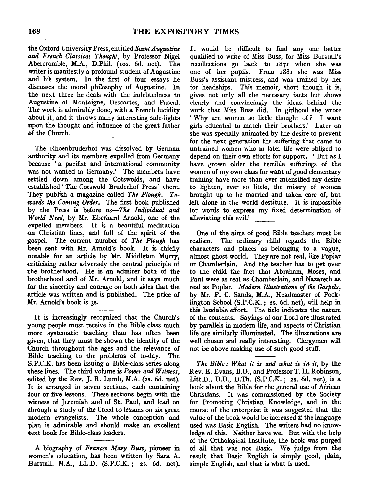the Oxford University Press, entitled *Saint Augustine and French Classical Thought,* by Professor Nigel Abercrombie, M.A., D.Phil. (10s. 6d. net). The writer is manifestly a profound student of Augustine and his system. In the first of four essays he discusses the moral philosophy of Augustine. In the next three he deals with the indebtedness to Augustine of Montaigne, Descartes, and Pascal. The work is admirably done, with a French lucidity about it, and it throws many interesting side-lights upon the thought and influence of the great father of the Church.

The Rhoenbruderhof was dissolved by German authority and its members expelled from Germany because ' a pacifist and international community was not wanted in Germany.' The members have settled down among the Cotswolds, and have established ' The Cotswold Bruderhof Press ' there. They publish a magazine called *The Plough. Towards the Coming Order.* The first book published by the Press is before *us-The Individual and World Need,* by Mr. Eberhard Arnold, one of the expelled members. It is a beautiful meditation on Christian lines, and full of the spirit of the gospel. The current number of *The Plough* has been sent with Mr. Arnold's book. It is chiefly notable for an article by Mr. Middleton Murry, criticising rather adversely the central principle of the brotherhood. He is an admirer both of the brotherhood and of Mr. Arnold, and it says much for the sincerity and courage on both sides that the article was written and is published. The price of Mr. Arnold's book is 3s.

It is increasingly recognized that the Church's young people must receive in the Bible class much more systematic teaching than has often been given, that they must be shown the identity of the Church throughout the ages and the relevance of Bible teaching to the problems of to-day. The S.P.C.K. has been issuing a Bible-class series along these lines. The third volume is *Power and Witness,*  edited by the Rev. J. R. Lumb, M.A. (2s. 6d. net). It is arranged in seven sections, each containing four or five lessons. These sections begin with the witness of Jeremiah and of St. Paul, and lead on through a study of the Creed to lessons on six great modem evangelists. The whole conception and plan is admirable and should make an excellent text book for Bible-class leaders.

A biography of *Frances Mary Buss,* pioneer in women's education, has been written by Sara A. Burstall, M.A., LL.D. (S.P.C.K.; 2s. 6d. net).

It would be difficult to find any one better qualified to write of Miss Buss, for Miss Burstall's recollections go back to 1871 when she was one of her pupils. From 1881 she was Miss Buss's assistant mistress, and was trained by her for headships. This memoir, short though it is, gives not only all the necessary facts but shows clearly and convincingly the ideas behind the work that Miss Buss did. In girlhood she wrote ' Why are women so little thought of ? I want girls educated to match their brothers.' Later on she was specially animated by the desire to prevent for the next generation the suffering that came to untrained women who in later life were obliged to depend on their own efforts for support. ' But as I have grown older the terrible sufferings of the women of my own class for want of good elementary training have more than ever intensified my desire to lighten, ever so little, the misery of women brought up to be married and taken care of, but left alone in the world destitute. It is impossible for words to express my fixed determination of alleviating this evil.'

One of the aims of good Bible teachers must be realism. The ordinary child regards the Bible characters and places as belonging to a vague, almost ghost world. They are not real, like Poplar or Chamberlain. And the teacher has to get over to the child the fact that Abraham, Moses, and Paul were as real as Chamberlain, and Nazareth as real as Poplar. *Modern Illustrations of the Gospels,*  by Mr. P. C. Sands, M.A., Headmaster of Pocklington School (S.P.C.K.; 2s. 6d. net), will help in this laudable effort. The title indicates the nature of the contents. Sayings of our Lord are illustrated by parallels in modem life, and aspects of Christian life are similarly illuminated. The illustrations are well chosen and really interesting. Clergymen will not be above making use of such good stuff.

The Bible: What it is and what is in it, by the Rev. E. Evans, B.D., and Professor T. H. Robinson, Litt.D., D.D., D.Th. (S.P.C.K.; 2s. 6d. net), is a book about the Bible for the general use of African Christians. It was commissioned by the Society for Promoting Christian Knowledge, and in the course of the enterprise it was suggested that the value of the book would be increased if the language used was Basic English. The writers had no knowledge of this. Neither have we. But with the help of the Orthological Institute, the book was purged of all that was not Basic. We judge from the result that Basic English is simply good,. plain, simple English, and that is what is used.